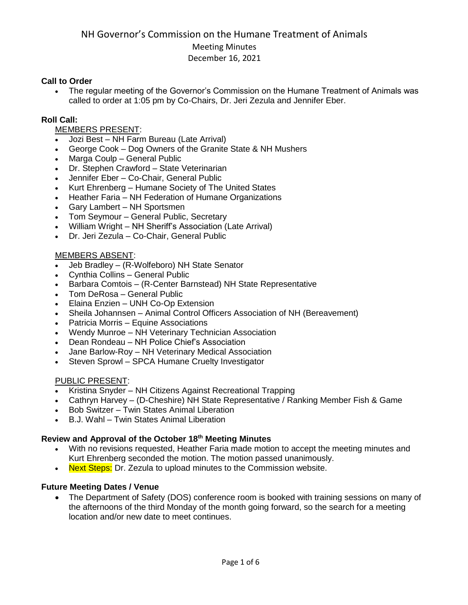#### **Call to Order**

 The regular meeting of the Governor's Commission on the Humane Treatment of Animals was called to order at 1:05 pm by Co-Chairs, Dr. Jeri Zezula and Jennifer Eber.

#### **Roll Call:**

#### MEMBERS PRESENT:

- Jozi Best NH Farm Bureau (Late Arrival)
- George Cook Dog Owners of the Granite State & NH Mushers
- Marga Coulp General Public
- Dr. Stephen Crawford State Veterinarian
- Jennifer Eber Co-Chair, General Public
- Kurt Ehrenberg Humane Society of The United States
- Heather Faria NH Federation of Humane Organizations
- Gary Lambert NH Sportsmen
- Tom Seymour General Public, Secretary
- William Wright NH Sheriff's Association (Late Arrival)
- Dr. Jeri Zezula Co-Chair, General Public

#### MEMBERS ABSENT:

- Jeb Bradley (R-Wolfeboro) NH State Senator
- Cynthia Collins General Public
- Barbara Comtois (R-Center Barnstead) NH State Representative
- Tom DeRosa General Public
- Elaina Enzien UNH Co-Op Extension
- Sheila Johannsen Animal Control Officers Association of NH (Bereavement)
- Patricia Morris Equine Associations
- Wendy Munroe NH Veterinary Technician Association
- Dean Rondeau NH Police Chief's Association
- Jane Barlow-Roy NH Veterinary Medical Association
- Steven Sprowl SPCA Humane Cruelty Investigator

#### PUBLIC PRESENT:

- Kristina Snyder NH Citizens Against Recreational Trapping
- Cathryn Harvey (D-Cheshire) NH State Representative / Ranking Member Fish & Game
- Bob Switzer Twin States Animal Liberation
- B.J. Wahl Twin States Animal Liberation

#### **Review and Approval of the October 18th Meeting Minutes**

- With no revisions requested, Heather Faria made motion to accept the meeting minutes and Kurt Ehrenberg seconded the motion. The motion passed unanimously.
- Next Steps: Dr. Zezula to upload minutes to the Commission website.

#### **Future Meeting Dates / Venue**

• The Department of Safety (DOS) conference room is booked with training sessions on many of the afternoons of the third Monday of the month going forward, so the search for a meeting location and/or new date to meet continues.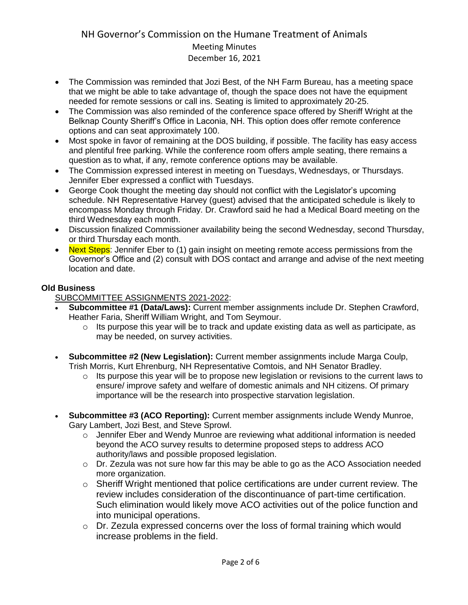- The Commission was reminded that Jozi Best, of the NH Farm Bureau, has a meeting space that we might be able to take advantage of, though the space does not have the equipment needed for remote sessions or call ins. Seating is limited to approximately 20-25.
- The Commission was also reminded of the conference space offered by Sheriff Wright at the Belknap County Sheriff's Office in Laconia, NH. This option does offer remote conference options and can seat approximately 100.
- Most spoke in favor of remaining at the DOS building, if possible. The facility has easy access and plentiful free parking. While the conference room offers ample seating, there remains a question as to what, if any, remote conference options may be available.
- The Commission expressed interest in meeting on Tuesdays, Wednesdays, or Thursdays. Jennifer Eber expressed a conflict with Tuesdays.
- George Cook thought the meeting day should not conflict with the Legislator's upcoming schedule. NH Representative Harvey (guest) advised that the anticipated schedule is likely to encompass Monday through Friday. Dr. Crawford said he had a Medical Board meeting on the third Wednesday each month.
- Discussion finalized Commissioner availability being the second Wednesday, second Thursday, or third Thursday each month.
- Next Steps: Jennifer Eber to (1) gain insight on meeting remote access permissions from the Governor's Office and (2) consult with DOS contact and arrange and advise of the next meeting location and date.

#### **Old Business**

SUBCOMMITTEE ASSIGNMENTS 2021-2022:

- **Subcommittee #1 (Data/Laws):** Current member assignments include Dr. Stephen Crawford, Heather Faria, Sheriff William Wright, and Tom Seymour.
	- $\circ$  Its purpose this year will be to track and update existing data as well as participate, as may be needed, on survey activities.
- **Subcommittee #2 (New Legislation):** Current member assignments include Marga Coulp, Trish Morris, Kurt Ehrenburg, NH Representative Comtois, and NH Senator Bradley.
	- $\circ$  Its purpose this year will be to propose new legislation or revisions to the current laws to ensure/ improve safety and welfare of domestic animals and NH citizens. Of primary importance will be the research into prospective starvation legislation.
- **Subcommittee #3 (ACO Reporting):** Current member assignments include Wendy Munroe, Gary Lambert, Jozi Best, and Steve Sprowl.
	- $\circ$  Jennifer Eber and Wendy Munroe are reviewing what additional information is needed beyond the ACO survey results to determine proposed steps to address ACO authority/laws and possible proposed legislation.
	- $\circ$  Dr. Zezula was not sure how far this may be able to go as the ACO Association needed more organization.
	- o Sheriff Wright mentioned that police certifications are under current review. The review includes consideration of the discontinuance of part-time certification. Such elimination would likely move ACO activities out of the police function and into municipal operations.
	- o Dr. Zezula expressed concerns over the loss of formal training which would increase problems in the field.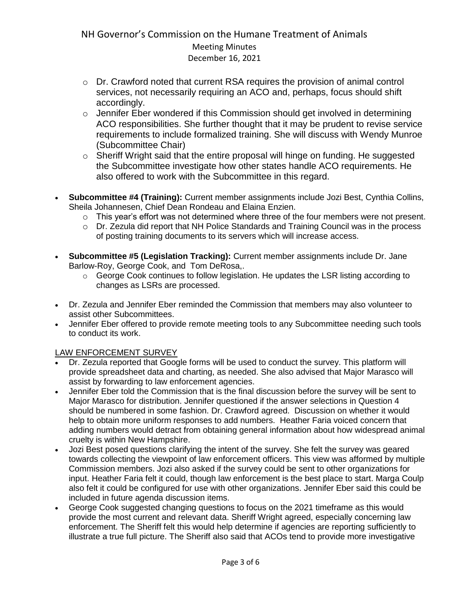- o Dr. Crawford noted that current RSA requires the provision of animal control services, not necessarily requiring an ACO and, perhaps, focus should shift accordingly.
- o Jennifer Eber wondered if this Commission should get involved in determining ACO responsibilities. She further thought that it may be prudent to revise service requirements to include formalized training. She will discuss with Wendy Munroe (Subcommittee Chair)
- o Sheriff Wright said that the entire proposal will hinge on funding. He suggested the Subcommittee investigate how other states handle ACO requirements. He also offered to work with the Subcommittee in this regard.
- **Subcommittee #4 (Training):** Current member assignments include Jozi Best, Cynthia Collins, Sheila Johannesen, Chief Dean Rondeau and Elaina Enzien.
	- $\circ$  This year's effort was not determined where three of the four members were not present.
	- o Dr. Zezula did report that NH Police Standards and Training Council was in the process of posting training documents to its servers which will increase access.
- **Subcommittee #5 (Legislation Tracking):** Current member assignments include Dr. Jane Barlow-Roy, George Cook, and Tom DeRosa,.
	- o George Cook continues to follow legislation. He updates the LSR listing according to changes as LSRs are processed.
- Dr. Zezula and Jennifer Eber reminded the Commission that members may also volunteer to assist other Subcommittees.
- Jennifer Eber offered to provide remote meeting tools to any Subcommittee needing such tools to conduct its work.

# LAW ENFORCEMENT SURVEY

- Dr. Zezula reported that Google forms will be used to conduct the survey. This platform will provide spreadsheet data and charting, as needed. She also advised that Major Marasco will assist by forwarding to law enforcement agencies.
- Jennifer Eber told the Commission that is the final discussion before the survey will be sent to Major Marasco for distribution. Jennifer questioned if the answer selections in Question 4 should be numbered in some fashion. Dr. Crawford agreed. Discussion on whether it would help to obtain more uniform responses to add numbers. Heather Faria voiced concern that adding numbers would detract from obtaining general information about how widespread animal cruelty is within New Hampshire.
- Jozi Best posed questions clarifying the intent of the survey. She felt the survey was geared towards collecting the viewpoint of law enforcement officers. This view was afformed by multiple Commission members. Jozi also asked if the survey could be sent to other organizations for input. Heather Faria felt it could, though law enforcement is the best place to start. Marga Coulp also felt it could be configured for use with other organizations. Jennifer Eber said this could be included in future agenda discussion items.
- George Cook suggested changing questions to focus on the 2021 timeframe as this would provide the most current and relevant data. Sheriff Wright agreed, especially concerning law enforcement. The Sheriff felt this would help determine if agencies are reporting sufficiently to illustrate a true full picture. The Sheriff also said that ACOs tend to provide more investigative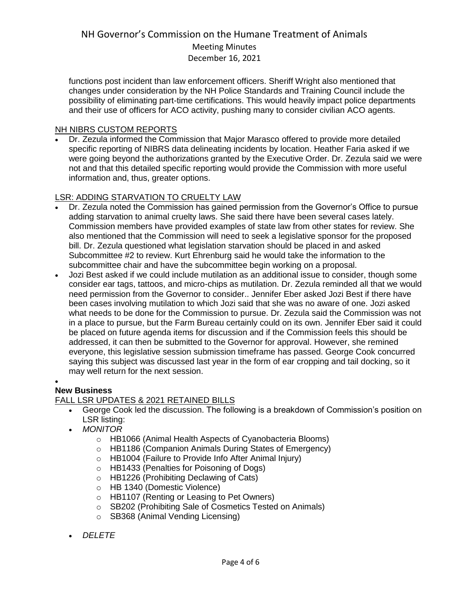functions post incident than law enforcement officers. Sheriff Wright also mentioned that changes under consideration by the NH Police Standards and Training Council include the possibility of eliminating part-time certifications. This would heavily impact police departments and their use of officers for ACO activity, pushing many to consider civilian ACO agents.

#### NH NIBRS CUSTOM REPORTS

 Dr. Zezula informed the Commission that Major Marasco offered to provide more detailed specific reporting of NIBRS data delineating incidents by location. Heather Faria asked if we were going beyond the authorizations granted by the Executive Order. Dr. Zezula said we were not and that this detailed specific reporting would provide the Commission with more useful information and, thus, greater options.

#### LSR: ADDING STARVATION TO CRUELTY LAW

- Dr. Zezula noted the Commission has gained permission from the Governor's Office to pursue adding starvation to animal cruelty laws. She said there have been several cases lately. Commission members have provided examples of state law from other states for review. She also mentioned that the Commission will need to seek a legislative sponsor for the proposed bill. Dr. Zezula questioned what legislation starvation should be placed in and asked Subcommittee #2 to review. Kurt Ehrenburg said he would take the information to the subcommittee chair and have the subcommittee begin working on a proposal.
- Jozi Best asked if we could include mutilation as an additional issue to consider, though some consider ear tags, tattoos, and micro-chips as mutilation. Dr. Zezula reminded all that we would need permission from the Governor to consider.. Jennifer Eber asked Jozi Best if there have been cases involving mutilation to which Jozi said that she was no aware of one. Jozi asked what needs to be done for the Commission to pursue. Dr. Zezula said the Commission was not in a place to pursue, but the Farm Bureau certainly could on its own. Jennifer Eber said it could be placed on future agenda items for discussion and if the Commission feels this should be addressed, it can then be submitted to the Governor for approval. However, she remined everyone, this legislative session submission timeframe has passed. George Cook concurred saying this subject was discussed last year in the form of ear cropping and tail docking, so it may well return for the next session.

#### $\bullet$ **New Business**

# FALL LSR UPDATES & 2021 RETAINED BILLS

- George Cook led the discussion. The following is a breakdown of Commission's position on LSR listing:
- *MONITOR*
	- o HB1066 (Animal Health Aspects of Cyanobacteria Blooms)
	- o HB1186 (Companion Animals During States of Emergency)
	- o HB1004 (Failure to Provide Info After Animal Injury)
	- o HB1433 (Penalties for Poisoning of Dogs)
	- o HB1226 (Prohibiting Declawing of Cats)
	- o HB 1340 (Domestic Violence)
	- o HB1107 (Renting or Leasing to Pet Owners)
	- o SB202 (Prohibiting Sale of Cosmetics Tested on Animals)
	- o SB368 (Animal Vending Licensing)
- *DELETE*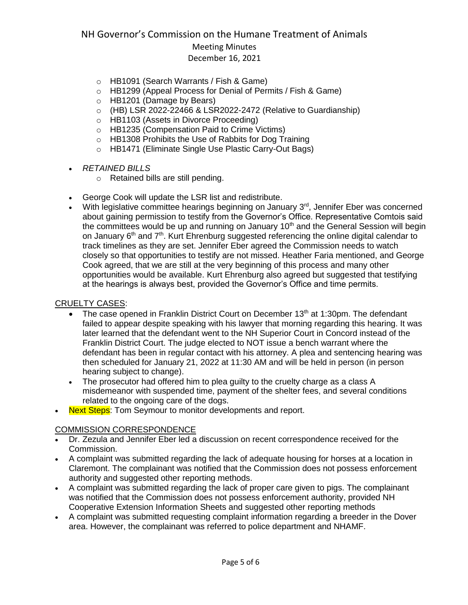# December 16, 2021

- o HB1091 (Search Warrants / Fish & Game)
- o HB1299 (Appeal Process for Denial of Permits / Fish & Game)
- o HB1201 (Damage by Bears)
- $\circ$  (HB) LSR 2022-22466 & LSR2022-2472 (Relative to Guardianship)
- o HB1103 (Assets in Divorce Proceeding)
- o HB1235 (Compensation Paid to Crime Victims)
- o HB1308 Prohibits the Use of Rabbits for Dog Training
- o HB1471 (Eliminate Single Use Plastic Carry-Out Bags)
- *RETAINED BILLS*
	- o Retained bills are still pending.
	- George Cook will update the LSR list and redistribute.
- With legislative committee hearings beginning on January 3<sup>rd</sup>, Jennifer Eber was concerned about gaining permission to testify from the Governor's Office. Representative Comtois said the committees would be up and running on January  $10<sup>th</sup>$  and the General Session will begin on January  $6<sup>th</sup>$  and  $7<sup>th</sup>$ . Kurt Ehrenburg suggested referencing the online digital calendar to track timelines as they are set. Jennifer Eber agreed the Commission needs to watch closely so that opportunities to testify are not missed. Heather Faria mentioned, and George Cook agreed, that we are still at the very beginning of this process and many other opportunities would be available. Kurt Ehrenburg also agreed but suggested that testifying at the hearings is always best, provided the Governor's Office and time permits.

#### CRUELTY CASES:

- The case opened in Franklin District Court on December 13<sup>th</sup> at 1:30pm. The defendant failed to appear despite speaking with his lawyer that morning regarding this hearing. It was later learned that the defendant went to the NH Superior Court in Concord instead of the Franklin District Court. The judge elected to NOT issue a bench warrant where the defendant has been in regular contact with his attorney. A plea and sentencing hearing was then scheduled for January 21, 2022 at 11:30 AM and will be held in person (in person hearing subject to change).
- The prosecutor had offered him to plea guilty to the cruelty charge as a class A misdemeanor with suspended time, payment of the shelter fees, and several conditions related to the ongoing care of the dogs.
- Next Steps: Tom Seymour to monitor developments and report.

#### COMMISSION CORRESPONDENCE

- Dr. Zezula and Jennifer Eber led a discussion on recent correspondence received for the Commission.
- A complaint was submitted regarding the lack of adequate housing for horses at a location in Claremont. The complainant was notified that the Commission does not possess enforcement authority and suggested other reporting methods.
- A complaint was submitted regarding the lack of proper care given to pigs. The complainant was notified that the Commission does not possess enforcement authority, provided NH Cooperative Extension Information Sheets and suggested other reporting methods
- A complaint was submitted requesting complaint information regarding a breeder in the Dover area. However, the complainant was referred to police department and NHAMF.